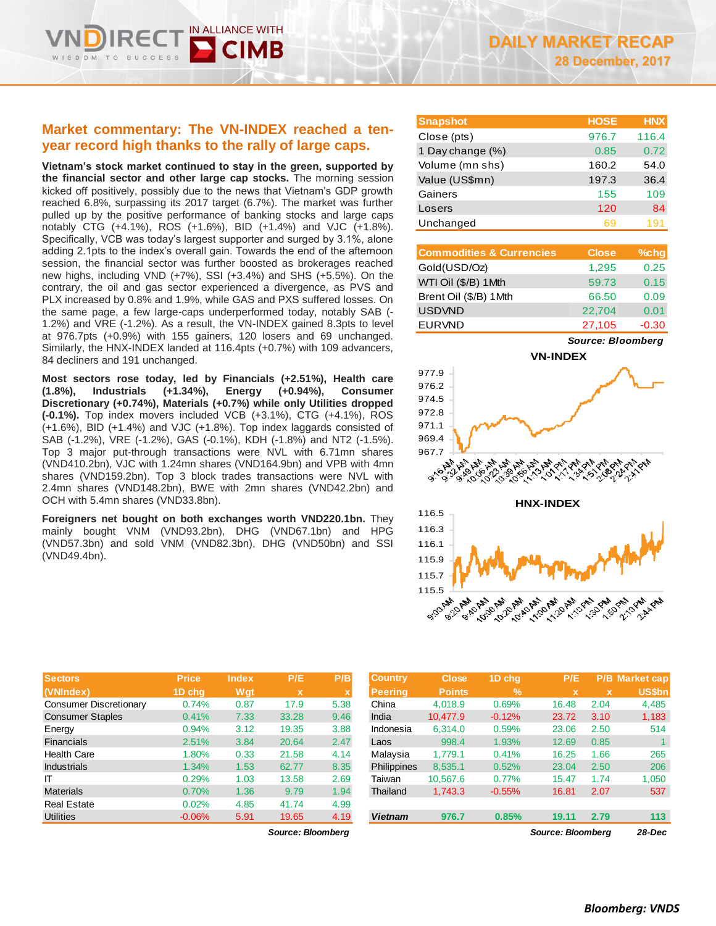# **Market commentary: The VN-INDEX reached a tenyear record high thanks to the rally of large caps.**

DOM TO

IN ALLIANCE WITH

**Vietnam's stock market continued to stay in the green, supported by the financial sector and other large cap stocks.** The morning session kicked off positively, possibly due to the news that Vietnam's GDP growth reached 6.8%, surpassing its 2017 target (6.7%). The market was further pulled up by the positive performance of banking stocks and large caps notably CTG (+4.1%), ROS (+1.6%), BID (+1.4%) and VJC (+1.8%). Specifically, VCB was today's largest supporter and surged by 3.1%, alone adding 2.1pts to the index's overall gain. Towards the end of the afternoon session, the financial sector was further boosted as brokerages reached new highs, including VND (+7%), SSI (+3.4%) and SHS (+5.5%). On the contrary, the oil and gas sector experienced a divergence, as PVS and PLX increased by 0.8% and 1.9%, while GAS and PXS suffered losses. On the same page, a few large-caps underperformed today, notably SAB (- 1.2%) and VRE (-1.2%). As a result, the VN-INDEX gained 8.3pts to level at 976.7pts (+0.9%) with 155 gainers, 120 losers and 69 unchanged. Similarly, the HNX-INDEX landed at 116.4pts (+0.7%) with 109 advancers, 84 decliners and 191 unchanged.

**Most sectors rose today, led by Financials (+2.51%), Health care (1.8%), Industrials (+1.34%), Energy (+0.94%), Consumer Discretionary (+0.74%), Materials (+0.7%) while only Utilities dropped (-0.1%).** Top index movers included VCB (+3.1%), CTG (+4.1%), ROS (+1.6%), BID (+1.4%) and VJC (+1.8%). Top index laggards consisted of SAB (-1.2%), VRE (-1.2%), GAS (-0.1%), KDH (-1.8%) and NT2 (-1.5%). Top 3 major put-through transactions were NVL with 6.71mn shares (VND410.2bn), VJC with 1.24mn shares (VND164.9bn) and VPB with 4mn shares (VND159.2bn). Top 3 block trades transactions were NVL with 2.4mn shares (VND148.2bn), BWE with 2mn shares (VND42.2bn) and OCH with 5.4mn shares (VND33.8bn).

**Foreigners net bought on both exchanges worth VND220.1bn.** They mainly bought VNM (VND93.2bn), DHG (VND67.1bn) and HPG (VND57.3bn) and sold VNM (VND82.3bn), DHG (VND50bn) and SSI (VND49.4bn).

| <b>Snapshot</b>  | <b>HOSE</b> | <b>HNX</b> |
|------------------|-------------|------------|
| Close (pts)      | 976.7       | 116.4      |
| 1 Day change (%) | 0.85        | 0.72       |
| Volume (mn shs)  | 160.2       | 54.0       |
| Value (US\$mn)   | 197.3       | 36.4       |
| Gainers          | 155         | 109        |
| Losers           | 120         | 84         |
| Unchanged        | 69          | 191        |

| <b>Commodities &amp; Currencies</b> | <b>Close</b> | $%$ chg |
|-------------------------------------|--------------|---------|
| Gold(USD/Oz)                        | 1,295        | 0.25    |
| WTI Oil (\$/B) 1Mth                 | 59.73        | 0.15    |
| Brent Oil (\$/B) 1Mth               | 66.50        | 0.09    |
| <b>USDVND</b>                       | 22,704       | 0.01    |
| <b>EURVND</b>                       | 27,105       | $-0.30$ |

*Source: Bloomberg*





| Sectors                       | <b>Price</b> | <b>Index</b> | P/E         | P/B         | <b>Country</b> | <b>Close</b>  | 1D chq        | P/E   |      | P/B Market cap |
|-------------------------------|--------------|--------------|-------------|-------------|----------------|---------------|---------------|-------|------|----------------|
| (VNIndex)                     | 1D chq       | Wgt          | $\mathbf x$ | $\mathbf x$ | <b>Peering</b> | <b>Points</b> | $\frac{9}{6}$ |       |      | <b>US\$bn</b>  |
| <b>Consumer Discretionary</b> | 0.74%        | 0.87         | 17.9        | 5.38        | China          | 4.018.9       | 0.69%         | 16.48 | 2.04 | 4,485          |
| <b>Consumer Staples</b>       | 0.41%        | 7.33         | 33.28       | 9.46        | India          | 10.477.9      | $-0.12%$      | 23.72 | 3.10 | 1,183          |
| Energy                        | 0.94%        | 3.12         | 19.35       | 3.88        | Indonesia      | 6,314.0       | 0.59%         | 23.06 | 2.50 | 514            |
| <b>Financials</b>             | 2.51%        | 3.84         | 20.64       | 2.47        | Laos           | 998.4         | 1.93%         | 12.69 | 0.85 |                |
| <b>Health Care</b>            | 1.80%        | 0.33         | 21.58       | 4.14        | Malaysia       | 1.779.1       | 0.41%         | 16.25 | 1.66 | 265            |
| <b>Industrials</b>            | 1.34%        | 1.53         | 62.77       | 8.35        | Philippines    | 8,535.1       | 0.52%         | 23.04 | 2.50 | 206            |
| IT                            | 0.29%        | 1.03         | 13.58       | 2.69        | Taiwan         | 10,567.6      | 0.77%         | 15.47 | 1.74 | 1,050          |
| <b>Materials</b>              | 0.70%        | 1.36         | 9.79        | 1.94        | Thailand       | 1,743.3       | $-0.55%$      | 16.81 | 2.07 | 537            |
| <b>Real Estate</b>            | 0.02%        | 4.85         | 41.74       | 4.99        |                |               |               |       |      |                |
| <b>Utilities</b>              | $-0.06%$     | 5.91         | 19.65       | 4.19        | <b>Vietnam</b> | 976.7         | 0.85%         | 19.11 | 2.79 | 113            |

 $Source: Bloomberg$ 

| <b>Country</b> | <b>Close</b>  | 1D chq        | P/E                      |             | <b>P/B Market cap</b> |
|----------------|---------------|---------------|--------------------------|-------------|-----------------------|
| <b>Peering</b> | <b>Points</b> | $\frac{9}{6}$ | $\mathbf{x}$             | $\mathbf x$ | <b>US\$bn</b>         |
| China          | 4.018.9       | 0.69%         | 16.48                    | 2.04        | 4,485                 |
| India          | 10.477.9      | $-0.12%$      | 23.72                    | 3.10        | 1,183                 |
| Indonesia      | 6.314.0       | 0.59%         | 23.06                    | 2.50        | 514                   |
| Laos           | 998.4         | 1.93%         | 12.69                    | 0.85        | 1                     |
| Malaysia       | 1.779.1       | 0.41%         | 16.25                    | 1.66        | 265                   |
| Philippines    | 8.535.1       | 0.52%         | 23.04                    | 2.50        | 206                   |
| Taiwan         | 10,567.6      | 0.77%         | 15.47                    | 1.74        | 1,050                 |
| Thailand       | 1,743.3       | $-0.55%$      | 16.81                    | 2.07        | 537                   |
|                |               |               |                          |             |                       |
| <b>Vietnam</b> | 976.7         | 0.85%         | 19.11                    | 2.79        | 113                   |
|                |               |               | <b>Source: Bloombera</b> | 28-Dec      |                       |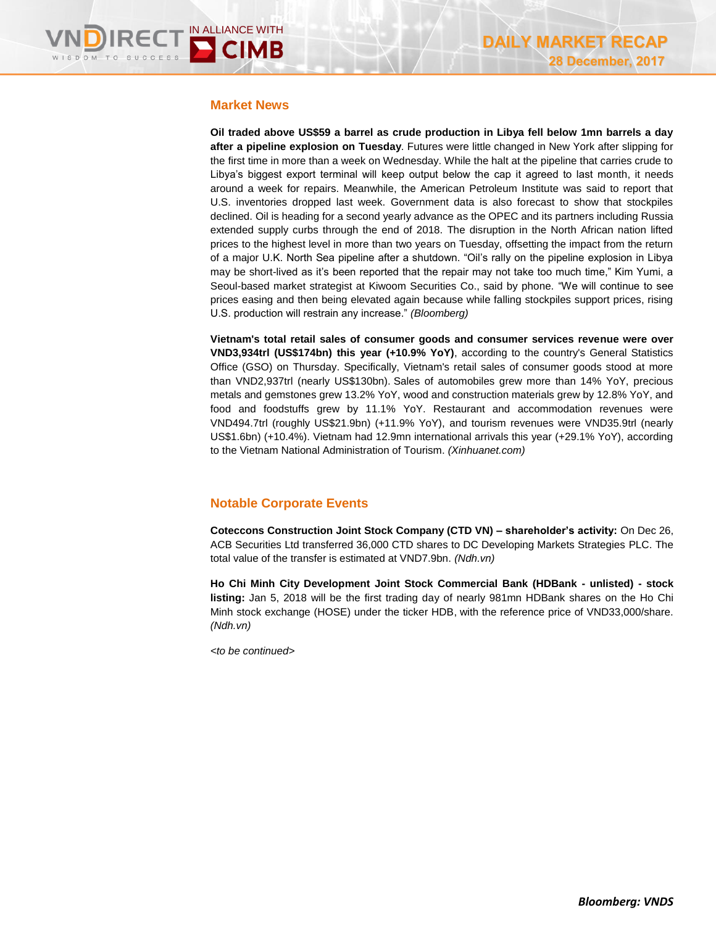# **Market News**

**Oil traded above US\$59 a barrel as crude production in Libya fell below 1mn barrels a day after a pipeline explosion on Tuesday**. Futures were little changed in New York after slipping for the first time in more than a week on Wednesday. While the halt at the pipeline that carries crude to Libya's biggest export terminal will keep output below the cap it agreed to last month, it needs around a week for repairs. Meanwhile, the American Petroleum Institute was said to report that U.S. inventories dropped last week. Government data is also forecast to show that stockpiles declined. Oil is heading for a second yearly advance as the OPEC and its partners including Russia extended supply curbs through the end of 2018. The disruption in the North African nation lifted prices to the highest level in more than two years on Tuesday, offsetting the impact from the return of a major U.K. North Sea pipeline after a shutdown. "Oil's rally on the pipeline explosion in Libya may be short-lived as it's been reported that the repair may not take too much time," Kim Yumi, a Seoul-based market strategist at Kiwoom Securities Co., said by phone. "We will continue to see prices easing and then being elevated again because while falling stockpiles support prices, rising U.S. production will restrain any increase." *(Bloomberg)*

**Vietnam's total retail sales of consumer goods and consumer services revenue were over VND3,934trl (US\$174bn) this year (+10.9% YoY)**, according to the country's General Statistics Office (GSO) on Thursday. Specifically, Vietnam's retail sales of consumer goods stood at more than VND2,937trl (nearly US\$130bn). Sales of automobiles grew more than 14% YoY, precious metals and gemstones grew 13.2% YoY, wood and construction materials grew by 12.8% YoY, and food and foodstuffs grew by 11.1% YoY. Restaurant and accommodation revenues were VND494.7trl (roughly US\$21.9bn) (+11.9% YoY), and tourism revenues were VND35.9trl (nearly US\$1.6bn) (+10.4%). Vietnam had 12.9mn international arrivals this year (+29.1% YoY), according to the Vietnam National Administration of Tourism. *(Xinhuanet.com)*

# **Notable Corporate Events**

**Coteccons Construction Joint Stock Company (CTD VN) – shareholder's activity:** On Dec 26, ACB Securities Ltd transferred 36,000 CTD shares to DC Developing Markets Strategies PLC. The total value of the transfer is estimated at VND7.9bn. *(Ndh.vn)* 

**Ho Chi Minh City Development Joint Stock Commercial Bank (HDBank - unlisted) - stock listing:** Jan 5, 2018 will be the first trading day of nearly 981mn HDBank shares on the Ho Chi Minh stock exchange (HOSE) under the ticker HDB, with the reference price of VND33,000/share. *(Ndh.vn)*

*<to be continued>*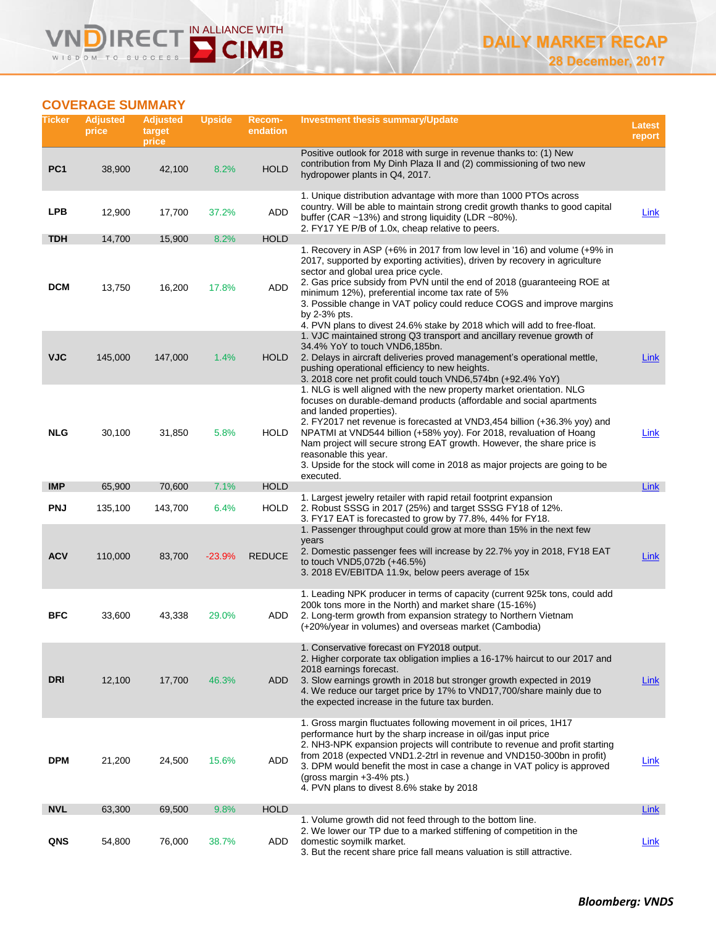# **COVERAGE SUMMARY**

**DIRE** 

WISDOM TO

=

 $0.500$ 

 $\boldsymbol{\mathsf{V}}$ 

IN ALLIANCE WITH

**D** CIMB

| Ticker          | <b>Adjusted</b><br>price | <b>Adjusted</b><br>target<br>price | <b>Upside</b> | Recom-<br>endation | <b>Investment thesis summary/Update</b>                                                                                                                                                                                                                                                                                                                                                                                                                                                                                   | <b>Latest</b><br>report |
|-----------------|--------------------------|------------------------------------|---------------|--------------------|---------------------------------------------------------------------------------------------------------------------------------------------------------------------------------------------------------------------------------------------------------------------------------------------------------------------------------------------------------------------------------------------------------------------------------------------------------------------------------------------------------------------------|-------------------------|
| PC <sub>1</sub> | 38,900                   | 42,100                             | 8.2%          | <b>HOLD</b>        | Positive outlook for 2018 with surge in revenue thanks to: (1) New<br>contribution from My Dinh Plaza II and (2) commissioning of two new<br>hydropower plants in Q4, 2017.                                                                                                                                                                                                                                                                                                                                               |                         |
| <b>LPB</b>      | 12,900                   | 17,700                             | 37.2%         | ADD                | 1. Unique distribution advantage with more than 1000 PTOs across<br>country. Will be able to maintain strong credit growth thanks to good capital<br>buffer (CAR $\sim$ 13%) and strong liquidity (LDR $\sim$ 80%).<br>2. FY17 YE P/B of 1.0x, cheap relative to peers.                                                                                                                                                                                                                                                   | <b>Link</b>             |
| <b>TDH</b>      | 14,700                   | 15,900                             | 8.2%          | <b>HOLD</b>        |                                                                                                                                                                                                                                                                                                                                                                                                                                                                                                                           |                         |
| <b>DCM</b>      | 13,750                   | 16,200                             | 17.8%         | ADD                | 1. Recovery in ASP (+6% in 2017 from low level in '16) and volume (+9% in<br>2017, supported by exporting activities), driven by recovery in agriculture<br>sector and global urea price cycle.<br>2. Gas price subsidy from PVN until the end of 2018 (guaranteeing ROE at<br>minimum 12%), preferential income tax rate of 5%<br>3. Possible change in VAT policy could reduce COGS and improve margins<br>by 2-3% pts.<br>4. PVN plans to divest 24.6% stake by 2018 which will add to free-float.                     |                         |
| <b>VJC</b>      | 145,000                  | 147,000                            | 1.4%          | <b>HOLD</b>        | 1. VJC maintained strong Q3 transport and ancillary revenue growth of<br>34.4% YoY to touch VND6,185bn.<br>2. Delays in aircraft deliveries proved management's operational mettle,<br>pushing operational efficiency to new heights.<br>3. 2018 core net profit could touch VND6,574bn (+92.4% YoY)                                                                                                                                                                                                                      | Link                    |
| <b>NLG</b>      | 30,100                   | 31,850                             | 5.8%          | <b>HOLD</b>        | 1. NLG is well aligned with the new property market orientation. NLG<br>focuses on durable-demand products (affordable and social apartments<br>and landed properties).<br>2. FY2017 net revenue is forecasted at VND3,454 billion (+36.3% yoy) and<br>NPATMI at VND544 billion (+58% yoy). For 2018, revaluation of Hoang<br>Nam project will secure strong EAT growth. However, the share price is<br>reasonable this year.<br>3. Upside for the stock will come in 2018 as major projects are going to be<br>executed. | Link                    |
| <b>IMP</b>      | 65,900                   | 70,600                             | 7.1%          | <b>HOLD</b>        | 1. Largest jewelry retailer with rapid retail footprint expansion                                                                                                                                                                                                                                                                                                                                                                                                                                                         | Link                    |
| <b>PNJ</b>      | 135,100                  | 143,700                            | 6.4%          | <b>HOLD</b>        | 2. Robust SSSG in 2017 (25%) and target SSSG FY18 of 12%.<br>3. FY17 EAT is forecasted to grow by 77.8%, 44% for FY18.                                                                                                                                                                                                                                                                                                                                                                                                    |                         |
| <b>ACV</b>      | 110,000                  | 83,700                             | $-23.9%$      | <b>REDUCE</b>      | 1. Passenger throughput could grow at more than 15% in the next few<br>years<br>2. Domestic passenger fees will increase by 22.7% yoy in 2018, FY18 EAT<br>to touch VND5,072b (+46.5%)<br>3. 2018 EV/EBITDA 11.9x, below peers average of 15x                                                                                                                                                                                                                                                                             | <b>Link</b>             |
| <b>BFC</b>      | 33,600                   | 43,338                             | 29.0%         | ADD                | 1. Leading NPK producer in terms of capacity (current 925k tons, could add<br>200k tons more in the North) and market share (15-16%)<br>2. Long-term growth from expansion strategy to Northern Vietnam<br>(+20%/year in volumes) and overseas market (Cambodia)                                                                                                                                                                                                                                                          |                         |
| <b>DRI</b>      | 12,100                   | 17,700                             | 46.3%         | ADD                | 1. Conservative forecast on FY2018 output.<br>2. Higher corporate tax obligation implies a 16-17% haircut to our 2017 and<br>2018 earnings forecast.<br>3. Slow earnings growth in 2018 but stronger growth expected in 2019<br>4. We reduce our target price by 17% to VND17,700/share mainly due to<br>the expected increase in the future tax burden.                                                                                                                                                                  | Link                    |
| <b>DPM</b>      | 21,200                   | 24,500                             | 15.6%         | ADD                | 1. Gross margin fluctuates following movement in oil prices, 1H17<br>performance hurt by the sharp increase in oil/gas input price<br>2. NH3-NPK expansion projects will contribute to revenue and profit starting<br>from 2018 (expected VND1.2-2trl in revenue and VND150-300bn in profit)<br>3. DPM would benefit the most in case a change in VAT policy is approved<br>(gross margin $+3-4\%$ pts.)<br>4. PVN plans to divest 8.6% stake by 2018                                                                     | Link                    |
| <b>NVL</b>      | 63,300                   | 69,500                             | 9.8%          | <b>HOLD</b>        |                                                                                                                                                                                                                                                                                                                                                                                                                                                                                                                           | Link                    |
| QNS             | 54,800                   | 76,000                             | 38.7%         | ADD                | 1. Volume growth did not feed through to the bottom line.<br>2. We lower our TP due to a marked stiffening of competition in the<br>domestic soymilk market.<br>3. But the recent share price fall means valuation is still attractive.                                                                                                                                                                                                                                                                                   | Link                    |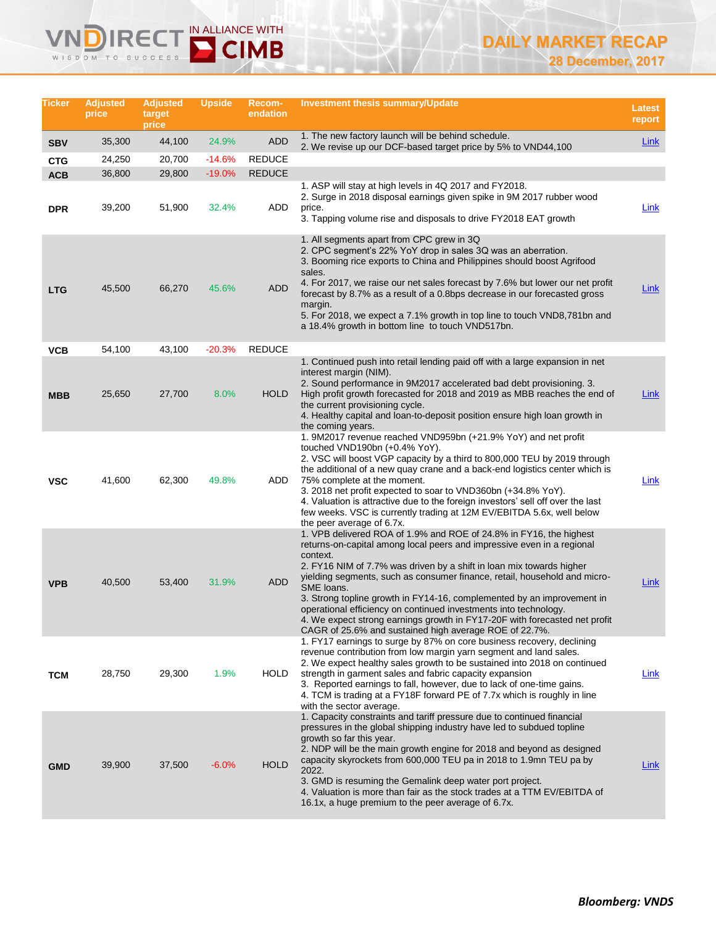# **DIRECT IN ALLIANCE WITH** WISDOM TO SUCCESS

| Ticker     | <b>Adjusted</b><br>price | <b>Adjusted</b><br>target<br>price | <b>Upside</b> | Recom-<br>endation | <b>Investment thesis summary/Update</b>                                                                                                                                                                                                                                                                                                                                                                                                                                                                                                                                                                           | <b>Latest</b><br>report |
|------------|--------------------------|------------------------------------|---------------|--------------------|-------------------------------------------------------------------------------------------------------------------------------------------------------------------------------------------------------------------------------------------------------------------------------------------------------------------------------------------------------------------------------------------------------------------------------------------------------------------------------------------------------------------------------------------------------------------------------------------------------------------|-------------------------|
| <b>SBV</b> | 35,300                   | 44,100                             | 24.9%         | <b>ADD</b>         | 1. The new factory launch will be behind schedule.<br>2. We revise up our DCF-based target price by 5% to VND44,100                                                                                                                                                                                                                                                                                                                                                                                                                                                                                               | Link                    |
| <b>CTG</b> | 24,250                   | 20,700                             | -14.6%        | <b>REDUCE</b>      |                                                                                                                                                                                                                                                                                                                                                                                                                                                                                                                                                                                                                   |                         |
| <b>ACB</b> | 36,800                   | 29,800                             | $-19.0\%$     | <b>REDUCE</b>      |                                                                                                                                                                                                                                                                                                                                                                                                                                                                                                                                                                                                                   |                         |
| <b>DPR</b> | 39,200                   | 51,900                             | 32.4%         | ADD                | 1. ASP will stay at high levels in 4Q 2017 and FY2018.<br>2. Surge in 2018 disposal earnings given spike in 9M 2017 rubber wood<br>price.<br>3. Tapping volume rise and disposals to drive FY2018 EAT growth                                                                                                                                                                                                                                                                                                                                                                                                      | Link                    |
| <b>LTG</b> | 45,500                   | 66,270                             | 45.6%         | <b>ADD</b>         | 1. All segments apart from CPC grew in 3Q<br>2. CPC segment's 22% YoY drop in sales 3Q was an aberration.<br>3. Booming rice exports to China and Philippines should boost Agrifood<br>sales.<br>4. For 2017, we raise our net sales forecast by 7.6% but lower our net profit<br>forecast by 8.7% as a result of a 0.8bps decrease in our forecasted gross<br>margin.                                                                                                                                                                                                                                            | <u>Link</u>             |
|            |                          |                                    |               |                    | 5. For 2018, we expect a 7.1% growth in top line to touch VND8,781bn and<br>a 18.4% growth in bottom line to touch VND517bn.                                                                                                                                                                                                                                                                                                                                                                                                                                                                                      |                         |
| <b>VCB</b> | 54,100                   | 43,100                             | $-20.3%$      | <b>REDUCE</b>      |                                                                                                                                                                                                                                                                                                                                                                                                                                                                                                                                                                                                                   |                         |
| <b>MBB</b> | 25,650                   | 27,700                             | 8.0%          | <b>HOLD</b>        | 1. Continued push into retail lending paid off with a large expansion in net<br>interest margin (NIM).<br>2. Sound performance in 9M2017 accelerated bad debt provisioning. 3.<br>High profit growth forecasted for 2018 and 2019 as MBB reaches the end of<br>the current provisioning cycle.<br>4. Healthy capital and loan-to-deposit position ensure high loan growth in<br>the coming years.                                                                                                                                                                                                                 | Link                    |
| <b>VSC</b> | 41,600                   | 62,300                             | 49.8%         | ADD                | 1. 9M2017 revenue reached VND959bn (+21.9% YoY) and net profit<br>touched VND190bn $(+0.4\%$ YoY).<br>2. VSC will boost VGP capacity by a third to 800,000 TEU by 2019 through<br>the additional of a new quay crane and a back-end logistics center which is<br>75% complete at the moment.<br>3. 2018 net profit expected to soar to VND360bn (+34.8% YoY).<br>4. Valuation is attractive due to the foreign investors' sell off over the last<br>few weeks. VSC is currently trading at 12M EV/EBITDA 5.6x, well below<br>the peer average of 6.7x.                                                            | <u>Link</u>             |
| <b>VPB</b> | 40,500                   | 53,400                             | 31.9%         | <b>ADD</b>         | 1. VPB delivered ROA of 1.9% and ROE of 24.8% in FY16, the highest<br>returns-on-capital among local peers and impressive even in a regional<br>context.<br>2. FY16 NIM of 7.7% was driven by a shift in loan mix towards higher<br>yielding segments, such as consumer finance, retail, household and micro-<br>SME loans.<br>3. Strong topline growth in FY14-16, complemented by an improvement in<br>operational efficiency on continued investments into technology.<br>4. We expect strong earnings growth in FY17-20F with forecasted net profit<br>CAGR of 25.6% and sustained high average ROE of 22.7%. | <b>Link</b>             |
| <b>TCM</b> | 28,750                   | 29,300                             | 1.9%          | HOLD               | 1. FY17 earnings to surge by 87% on core business recovery, declining<br>revenue contribution from low margin yarn segment and land sales.<br>2. We expect healthy sales growth to be sustained into 2018 on continued<br>strength in garment sales and fabric capacity expansion<br>3. Reported earnings to fall, however, due to lack of one-time gains.<br>4. TCM is trading at a FY18F forward PE of 7.7x which is roughly in line<br>with the sector average.                                                                                                                                                | <u>Link</u>             |
| <b>GMD</b> | 39,900                   | 37,500                             | $-6.0%$       | <b>HOLD</b>        | 1. Capacity constraints and tariff pressure due to continued financial<br>pressures in the global shipping industry have led to subdued topline<br>growth so far this year.<br>2. NDP will be the main growth engine for 2018 and beyond as designed<br>capacity skyrockets from 600,000 TEU pa in 2018 to 1.9mn TEU pa by<br>2022.<br>3. GMD is resuming the Gemalink deep water port project.<br>4. Valuation is more than fair as the stock trades at a TTM EV/EBITDA of<br>16.1x, a huge premium to the peer average of 6.7x.                                                                                 | Link                    |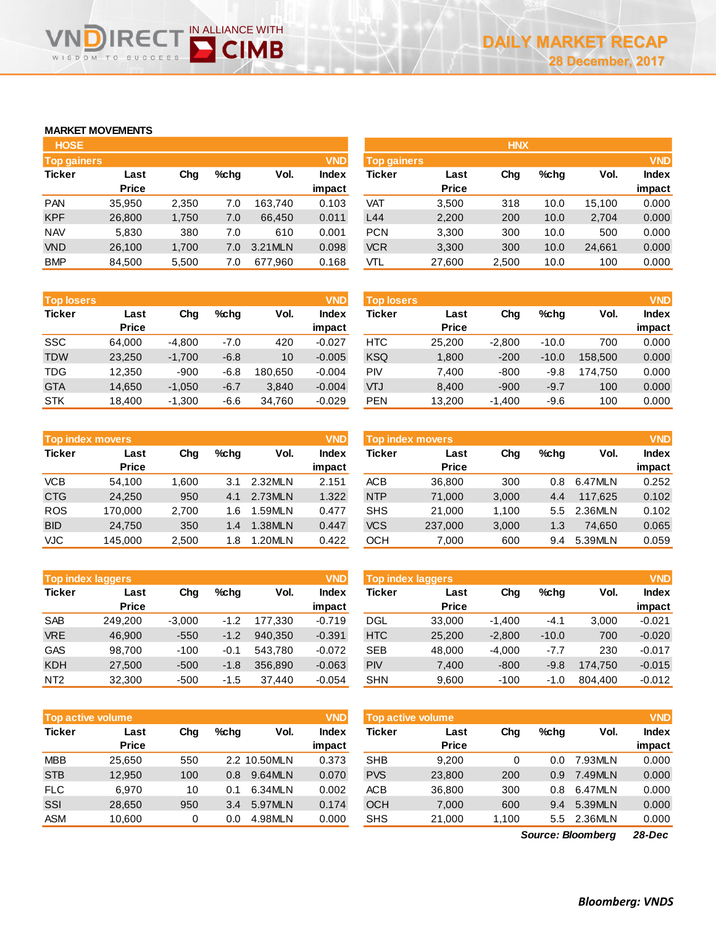# **MARKET MOVEMENTS**

WISDOM TO

Ξ(

SUCCESS

| <b>HOSE</b>        |              |       |      |         |              |
|--------------------|--------------|-------|------|---------|--------------|
| <b>Top gainers</b> |              |       |      |         | <b>VND</b>   |
| <b>Ticker</b>      | Last         | Chq   | %chq | Vol.    | <b>Index</b> |
|                    | <b>Price</b> |       |      |         | impact       |
| PAN                | 35,950       | 2,350 | 7.0  | 163.740 | 0.103        |
| <b>KPF</b>         | 26,800       | 1,750 | 7.0  | 66,450  | 0.011        |
| <b>NAV</b>         | 5,830        | 380   | 7.0  | 610     | 0.001        |
| <b>VND</b>         | 26,100       | 1,700 | 7.0  | 3.21MLN | 0.098        |
| <b>BMP</b>         | 84,500       | 5,500 | 7.0  | 677,960 | 0.168        |

IN ALLIANCE WITH

**D** CIMB

| <b>HOSE</b>        |              |       |         |          |            |                    |              | <b>HNX</b> |         |        |              |
|--------------------|--------------|-------|---------|----------|------------|--------------------|--------------|------------|---------|--------|--------------|
| <b>Top gainers</b> |              |       |         |          | <b>VND</b> | <b>Top gainers</b> |              |            |         |        | <b>VND</b>   |
| Ticker             | Last         | Chg   | $%$ chq | Vol.     | Index      | Ticker             | Last         | Chg        | $%$ chq | Vol.   | <b>Index</b> |
|                    | <b>Price</b> |       |         |          | impact     |                    | <b>Price</b> |            |         |        | impact       |
| <b>PAN</b>         | 35.950       | 2,350 | 7.0     | 163.740  | 0.103      | VAT                | 3,500        | 318        | 10.0    | 15.100 | 0.000        |
| <b>KPF</b>         | 26,800       | 1,750 | 7.0     | 66,450   | 0.011      | L44                | 2,200        | 200        | 10.0    | 2,704  | 0.000        |
| NAV                | 5,830        | 380   | 7.0     | 610      | 0.001      | <b>PCN</b>         | 3,300        | 300        | 10.0    | 500    | 0.000        |
| <b>VND</b>         | 26.100       | 1.700 | 7.0     | 3.21 MLN | 0.098      | <b>VCR</b>         | 3,300        | 300        | 10.0    | 24,661 | 0.000        |
| <b>BMP</b>         | 84,500       | 5,500 | 7.0     | 677,960  | 0.168      | VTL                | 27,600       | 2,500      | 10.0    | 100    | 0.000        |
|                    |              |       |         |          |            |                    |              |            |         |        |              |

| <b>Top losers</b>     |              |             |        |         | <b>VND</b>   |
|-----------------------|--------------|-------------|--------|---------|--------------|
| <b>Ticker</b><br>Last |              | Cha<br>%chq |        | Vol.    | <b>Index</b> |
|                       | <b>Price</b> |             |        |         | impact       |
| <b>SSC</b>            | 64,000       | $-4,800$    | -7.0   | 420     | $-0.027$     |
| <b>TDW</b>            | 23,250       | $-1,700$    | $-6.8$ | 10      | $-0.005$     |
| <b>TDG</b>            | 12,350       | $-900$      | $-6.8$ | 180,650 | $-0.004$     |
| <b>GTA</b>            | 14,650       | $-1,050$    | $-6.7$ | 3,840   | $-0.004$     |
| <b>STK</b>            | 18,400       | $-1,300$    | $-6.6$ | 34,760  | $-0.029$     |

|               | <b>Top index movers</b> |       |      |         | <b>VND</b>   |
|---------------|-------------------------|-------|------|---------|--------------|
| <b>Ticker</b> | Last                    | Chq   | %chq | Vol.    | <b>Index</b> |
|               | <b>Price</b>            |       |      |         | impact       |
| <b>VCB</b>    | 54,100                  | 1,600 | 3.1  | 2.32MLN | 2.151        |
| <b>CTG</b>    | 24,250                  | 950   | 4.1  | 2.73MLN | 1.322        |
| <b>ROS</b>    | 170,000                 | 2,700 | 1.6  | 1.59MLN | 0.477        |
| <b>BID</b>    | 24,750                  | 350   | 1.4  | 1.38MLN | 0.447        |
| <b>VJC</b>    | 145,000                 | 2,500 | 1.8  | 1.20MLN | 0.422        |

|                 | <b>VND</b><br><b>Top index laggers</b> |          |        |         |              |  |  |  |  |  |  |
|-----------------|----------------------------------------|----------|--------|---------|--------------|--|--|--|--|--|--|
| <b>Ticker</b>   | Last                                   | Cha      |        | Vol.    | <b>Index</b> |  |  |  |  |  |  |
|                 | <b>Price</b>                           |          |        |         | impact       |  |  |  |  |  |  |
| <b>SAB</b>      | 249,200                                | $-3,000$ | $-1.2$ | 177,330 | $-0.719$     |  |  |  |  |  |  |
| <b>VRE</b>      | 46,900                                 | $-550$   | $-1.2$ | 940,350 | $-0.391$     |  |  |  |  |  |  |
| <b>GAS</b>      | 98,700                                 | $-100$   | $-0.1$ | 543,780 | $-0.072$     |  |  |  |  |  |  |
| <b>KDH</b>      | 27,500                                 | $-500$   | $-1.8$ | 356,890 | $-0.063$     |  |  |  |  |  |  |
| NT <sub>2</sub> | 32,300                                 | $-500$   | -1.5   | 37,440  | $-0.054$     |  |  |  |  |  |  |

| <b>Top losers</b> |              |          |         |         | <b>VND</b>   | Top losers |              |          |         |         | <b>VND</b>   |
|-------------------|--------------|----------|---------|---------|--------------|------------|--------------|----------|---------|---------|--------------|
| Ticker            | Last         | Chg      | $%$ chq | Vol.    | <b>Index</b> | Ticker     | Last         | Chg      | $%$ chq | Vol.    | <b>Index</b> |
|                   | <b>Price</b> |          |         |         | impact       |            | <b>Price</b> |          |         |         | impact       |
| SSC               | 64.000       | $-4,800$ | $-7.0$  | 420     | $-0.027$     | HTC.       | 25.200       | $-2.800$ | $-10.0$ | 700     | 0.000        |
| <b>TDW</b>        | 23.250       | $-1,700$ | $-6.8$  | 10      | $-0.005$     | <b>KSQ</b> | 1.800        | $-200$   | $-10.0$ | 158,500 | 0.000        |
| TDG               | 12.350       | -900     | $-6.8$  | 180.650 | $-0.004$     | PIV        | 7.400        | $-800$   | $-9.8$  | 174.750 | 0.000        |
| <b>GTA</b>        | 14,650       | $-1,050$ | $-6.7$  | 3.840   | $-0.004$     | VTJ        | 8,400        | $-900$   | $-9.7$  | 100     | 0.000        |
| STK               | 18,400       | $-1,300$ | $-6.6$  | 34,760  | $-0.029$     | <b>PEN</b> | 13,200       | $-1,400$ | -9.6    | 100     | 0.000        |
|                   |              |          |         |         |              |            |              |          |         |         |              |

| <b>Top index movers</b> |                      |       |         |         | <b>VND</b>      | <b>Top index movers</b> |                      |       |      |         |                        |
|-------------------------|----------------------|-------|---------|---------|-----------------|-------------------------|----------------------|-------|------|---------|------------------------|
| Ticker                  | Last<br><b>Price</b> | Chg   | $%$ chq | Vol.    | Index<br>impact | Ticker                  | Last<br><b>Price</b> | Chg   | %chq | Vol.    | <b>Index</b><br>impact |
| <b>VCB</b>              | 54.100               | 1.600 | 3.1     | 2.32MLN | 2.151           | <b>ACB</b>              | 36,800               | 300   | 0.8  | 6.47MLN | 0.252                  |
| <b>CTG</b>              | 24.250               | 950   | 4.1     | 2.73MLN | 1.322           | <b>NTP</b>              | 71.000               | 3,000 | 4.4  | 117.625 | 0.102                  |
| <b>ROS</b>              | 170,000              | 2,700 | 1.6     | 1.59MLN | 0.477           | <b>SHS</b>              | 21.000               | 1.100 | 5.5  | 2.36MLN | 0.102                  |
| <b>BID</b>              | 24.750               | 350   | 1.4     | 1.38MLN | 0.447           | <b>VCS</b>              | 237,000              | 3,000 | 1.3  | 74.650  | 0.065                  |
| VJC                     | 145.000              | 2,500 | 1.8     | 1.20MLN | 0.422           | осн                     | 7.000                | 600   | 9.4  | 5.39MLN | 0.059                  |

|                 | <b>Top index laggers</b> |          |         |         | <b>VND</b>             | Top index laggers |                      |          |         |         |                        |  |
|-----------------|--------------------------|----------|---------|---------|------------------------|-------------------|----------------------|----------|---------|---------|------------------------|--|
| Ticker          | Last<br><b>Price</b>     | Chg      | $%$ chq | Vol.    | <b>Index</b><br>impact | Ticker            | Last<br><b>Price</b> | Chg      | $%$ chq | Vol.    | <b>Index</b><br>impact |  |
| <b>SAB</b>      | 249.200                  | $-3.000$ | $-1.2$  | 177.330 | $-0.719$               | DGL               | 33.000               | $-1.400$ | $-4.1$  | 3.000   | $-0.021$               |  |
| <b>VRE</b>      | 46.900                   | $-550$   | $-1.2$  | 940.350 | $-0.391$               | <b>HTC</b>        | 25,200               | $-2,800$ | $-10.0$ | 700     | $-0.020$               |  |
| GAS             | 98.700                   | $-100$   | -0.1    | 543.780 | $-0.072$               | <b>SEB</b>        | 48,000               | $-4.000$ | $-7.7$  | 230     | $-0.017$               |  |
| KDH             | 27,500                   | $-500$   | $-1.8$  | 356.890 | $-0.063$               | <b>PIV</b>        | 7.400                | $-800$   | $-9.8$  | 174.750 | $-0.015$               |  |
| NT <sub>2</sub> | 32,300                   | $-500$   | -1.5    | 37.440  | $-0.054$               | <b>SHN</b>        | 9,600                | $-100$   | $-1.0$  | 804.400 | $-0.012$               |  |

| <b>Top active volume</b><br>Ticker |              |      |         |              |                      | Top active volume |              |         |         |              |  |
|------------------------------------|--------------|------|---------|--------------|----------------------|-------------------|--------------|---------|---------|--------------|--|
| Last                               | Chg          | %chq | Vol.    | <b>Index</b> | Ticker               | Last              | Cha          | $%$ chq | Vol.    | <b>Index</b> |  |
|                                    |              |      |         |              |                      |                   |              |         |         | impact       |  |
| 25.650                             | 550          |      |         | 0.373        | <b>SHB</b>           | 9.200             | 0            | 0.0     | 7.93MLN | 0.000        |  |
| 12.950                             | 100          | 0.8  | 9.64MLN | 0.070        | <b>PVS</b>           | 23,800            | 200          | 0.9     | 7.49MLN | 0.000        |  |
| 6.970                              | 10           | 0.1  | 6.34MLN | 0.002        | <b>ACB</b>           | 36,800            | 300          | 0.8     | 6.47MLN | 0.000        |  |
| 28.650                             | 950          | 3.4  | 5.97MLN | 0.174        | <b>OCH</b>           | 7,000             | 600          | 9.4     | 5.39MLN | 0.000        |  |
| 10.600                             | 0            | 0.0  | 4.98MLN | 0.000        | <b>SHS</b>           | 21,000            | 1.100        | 5.5     |         | 0.000        |  |
|                                    | <b>Price</b> |      |         | 2.2 10.50MLN | <b>VND</b><br>impact |                   | <b>Price</b> |         |         | 2.36MLN      |  |

*28-Dec Source: Bloomberg*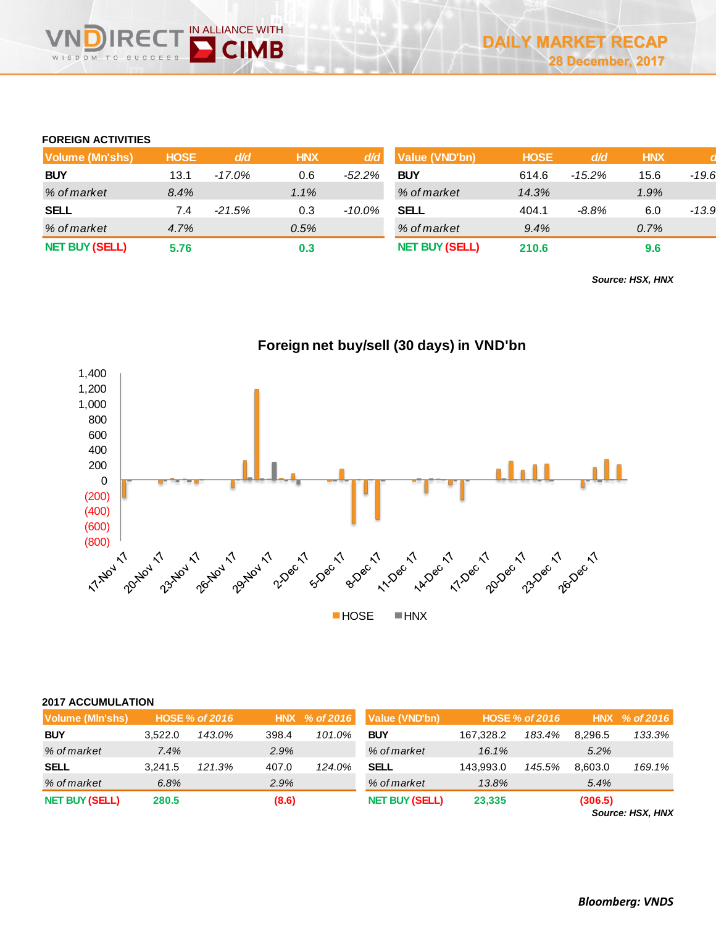# **FOREIGN ACTIVITIES**

| <b>Volume (Mn'shs)</b> | <b>HOSE</b> | d/d       | <b>HNX</b> | d/d       | Value (VND'bn)        | <b>HOSE</b> | d/d       | <b>HNX</b> |       |
|------------------------|-------------|-----------|------------|-----------|-----------------------|-------------|-----------|------------|-------|
| <b>BUY</b>             | 13.1        | $-17.0\%$ | 0.6        | $-52.2\%$ | <b>BUY</b>            | 614.6       | $-15.2\%$ | 15.6       | -19.6 |
| % of market            | 8.4%        |           | 1.1%       |           | % of market           | 14.3%       |           | 1.9%       |       |
| <b>SELL</b>            | 7.4         | $-21.5%$  | 0.3        | -10.0%    | <b>SELL</b>           | 404.1       | $-8.8\%$  | 6.0        | -13.9 |
| % of market            | 4.7%        |           | 0.5%       |           | % of market           | 9.4%        |           | 0.7%       |       |
| <b>NET BUY (SELL)</b>  | 5.76        |           | 0.3        |           | <b>NET BUY (SELL)</b> | 210.6       |           | 9.6        |       |

*Source: HSX, HNX*



|  |  | Foreign net buy/sell (30 days) in VND'bn |  |
|--|--|------------------------------------------|--|
|--|--|------------------------------------------|--|

|  |  |  | <b>2017 ACCUMULATION</b> |
|--|--|--|--------------------------|
|--|--|--|--------------------------|

| Volume (MIn'shs)      |         | <b>HOSE % of 2016</b> |       | HNX % of 2016 | <b>Value (VND'bn)</b> |           | <b>HOSE % of 2016</b> |         | HNX % of 2016 |
|-----------------------|---------|-----------------------|-------|---------------|-----------------------|-----------|-----------------------|---------|---------------|
| <b>BUY</b>            | 3.522.0 | 143.0%                | 398.4 | 101.0%        | <b>BUY</b>            | 167,328.2 | 183.4%                | 8.296.5 | 133.3%        |
| % of market           | 7.4%    |                       | 2.9%  |               | % of market           | $16.1\%$  |                       | $5.2\%$ |               |
| SELL                  | 3.241.5 | 121.3%                | 407.0 | 124.0%        | <b>SELL</b>           | 143.993.0 | 145.5%                | 8.603.0 | 169.1%        |
| % of market           | 6.8%    |                       | 2.9%  |               | % of market           | 13.8%     |                       | 5.4%    |               |
| <b>NET BUY (SELL)</b> | 280.5   |                       | (8.6) |               | <b>NET BUY (SELL)</b> | 23,335    |                       | (306.5) |               |

*Source: HSX, HNX*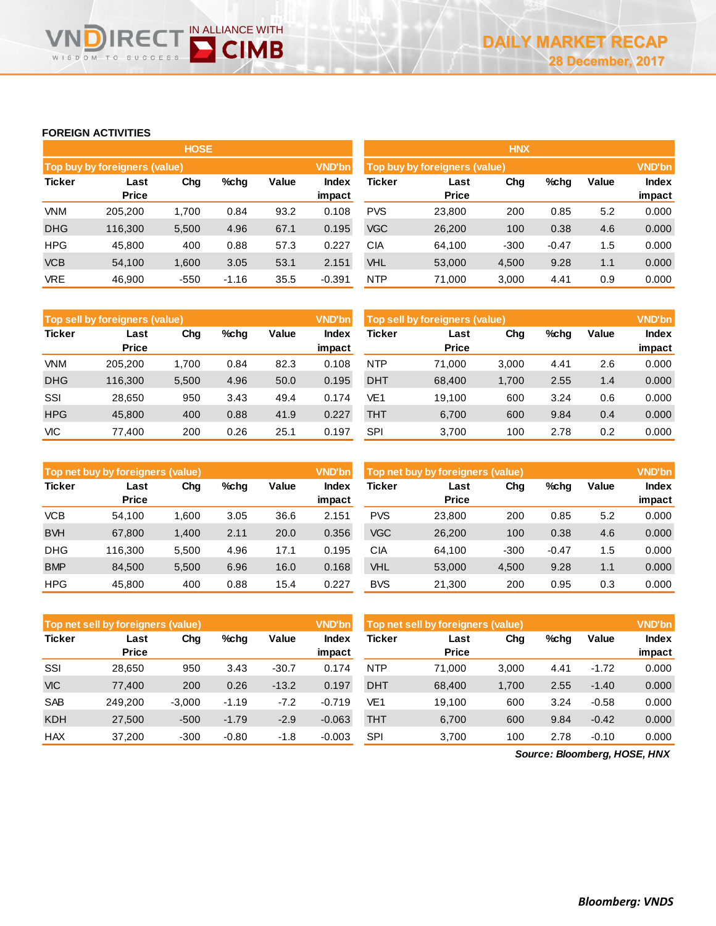# **FOREIGN ACTIVITIES**

**IREC** 

WISDOM TO SUCCESS

IN ALLIANCE WITH

**D** CIMB

|               |                               | <b>HOSE</b> |         |       |                 | <b>HNX</b> |                               |        |         |       |                 |  |
|---------------|-------------------------------|-------------|---------|-------|-----------------|------------|-------------------------------|--------|---------|-------|-----------------|--|
|               | Top buy by foreigners (value) |             |         |       | <b>VND'bn</b>   |            | Top buy by foreigners (value) |        |         |       |                 |  |
| <b>Ticker</b> | Last<br><b>Price</b>          | Chg         | %chg    | Value | Index<br>impact | Ticker     | Last<br><b>Price</b>          | Chg    | %chg    | Value | Index<br>impact |  |
| <b>VNM</b>    | 205.200                       | 1.700       | 0.84    | 93.2  | 0.108           | <b>PVS</b> | 23,800                        | 200    | 0.85    | 5.2   | 0.000           |  |
| <b>DHG</b>    | 116.300                       | 5,500       | 4.96    | 67.1  | 0.195           | <b>VGC</b> | 26,200                        | 100    | 0.38    | 4.6   | 0.000           |  |
| <b>HPG</b>    | 45,800                        | 400         | 0.88    | 57.3  | 0.227           | <b>CIA</b> | 64.100                        | $-300$ | $-0.47$ | 1.5   | 0.000           |  |
| <b>VCB</b>    | 54,100                        | 1,600       | 3.05    | 53.1  | 2.151           | <b>VHL</b> | 53,000                        | 4,500  | 9.28    | 1.1   | 0.000           |  |
| <b>VRE</b>    | 46,900                        | $-550$      | $-1.16$ | 35.5  | $-0.391$        | <b>NTP</b> | 71,000                        | 3,000  | 4.41    | 0.9   | 0.000           |  |

|               | Top sell by foreigners (value) |       |         |       | <b>VND'bn</b>   | Top sell by foreigners (value) |                      |       |      |       | <b>VND'bn</b>   |  |
|---------------|--------------------------------|-------|---------|-------|-----------------|--------------------------------|----------------------|-------|------|-------|-----------------|--|
| <b>Ticker</b> | Last<br><b>Price</b>           | Chg   | $%$ chg | Value | Index<br>impact | <b>Ticker</b>                  | Last<br><b>Price</b> | Chg   | %chg | Value | Index<br>impact |  |
| <b>VNM</b>    | 205.200                        | 1.700 | 0.84    | 82.3  | 0.108           | <b>NTP</b>                     | 71.000               | 3,000 | 4.41 | 2.6   | 0.000           |  |
| <b>DHG</b>    | 116.300                        | 5,500 | 4.96    | 50.0  | 0.195           | <b>DHT</b>                     | 68,400               | 1.700 | 2.55 | 1.4   | 0.000           |  |
| SSI           | 28.650                         | 950   | 3.43    | 49.4  | 0.174           | VE <sub>1</sub>                | 19.100               | 600   | 3.24 | 0.6   | 0.000           |  |
| <b>HPG</b>    | 45,800                         | 400   | 0.88    | 41.9  | 0.227           | <b>THT</b>                     | 6.700                | 600   | 9.84 | 0.4   | 0.000           |  |
| <b>VIC</b>    | 77.400                         | 200   | 0.26    | 25.1  | 0.197           | <b>SPI</b>                     | 3.700                | 100   | 2.78 | 0.2   | 0.000           |  |

|               | Top net buy by foreigners (value) |       |      |       | <b>VND'bn</b>   | Top net buy by foreigners (value) |                      |        |         |       | <b>VND'bn</b>   |  |  |
|---------------|-----------------------------------|-------|------|-------|-----------------|-----------------------------------|----------------------|--------|---------|-------|-----------------|--|--|
| <b>Ticker</b> | Last<br><b>Price</b>              | Chg   | %chg | Value | Index<br>impact | <b>Ticker</b>                     | Last<br><b>Price</b> | Chg    | %chg    | Value | Index<br>impact |  |  |
| <b>VCB</b>    | 54.100                            | 1.600 | 3.05 | 36.6  | 2.151           | <b>PVS</b>                        | 23,800               | 200    | 0.85    | 5.2   | 0.000           |  |  |
| <b>BVH</b>    | 67,800                            | 1,400 | 2.11 | 20.0  | 0.356           | <b>VGC</b>                        | 26,200               | 100    | 0.38    | 4.6   | 0.000           |  |  |
| <b>DHG</b>    | 116.300                           | 5,500 | 4.96 | 17.1  | 0.195           | СIА                               | 64.100               | $-300$ | $-0.47$ | 1.5   | 0.000           |  |  |
| <b>BMP</b>    | 84.500                            | 5,500 | 6.96 | 16.0  | 0.168           | VHL                               | 53,000               | 4,500  | 9.28    | 1.1   | 0.000           |  |  |
| <b>HPG</b>    | 45.800                            | 400   | 0.88 | 15.4  | 0.227           | <b>BVS</b>                        | 21,300               | 200    | 0.95    | 0.3   | 0.000           |  |  |

|               | Top net sell by foreigners (value) |          |         |         | <b>VND'bn</b>   | Top net sell by foreigners (value) |                      |       |      |         | <b>VND'bn</b>   |
|---------------|------------------------------------|----------|---------|---------|-----------------|------------------------------------|----------------------|-------|------|---------|-----------------|
| <b>Ticker</b> | Last<br><b>Price</b>               | Chg      | $%$ chg | Value   | Index<br>impact | <b>Ticker</b>                      | Last<br><b>Price</b> | Chg   | %chg | Value   | Index<br>impact |
| SSI           | 28.650                             | 950      | 3.43    | $-30.7$ | 0.174           | <b>NTP</b>                         | 71.000               | 3.000 | 4.41 | $-1.72$ | 0.000           |
| <b>VIC</b>    | 77.400                             | 200      | 0.26    | $-13.2$ | 0.197           | <b>DHT</b>                         | 68,400               | 1.700 | 2.55 | $-1.40$ | 0.000           |
| <b>SAB</b>    | 249.200                            | $-3.000$ | $-1.19$ | $-7.2$  | $-0.719$        | VE1                                | 19.100               | 600   | 3.24 | $-0.58$ | 0.000           |
| <b>KDH</b>    | 27,500                             | $-500$   | $-1.79$ | $-2.9$  | $-0.063$        | <b>THT</b>                         | 6.700                | 600   | 9.84 | $-0.42$ | 0.000           |
| <b>HAX</b>    | 37.200                             | $-300$   | $-0.80$ | -1.8    | $-0.003$        | <b>SPI</b>                         | 3.700                | 100   | 2.78 | $-0.10$ | 0.000           |

*Source: Bloomberg, HOSE, HNX*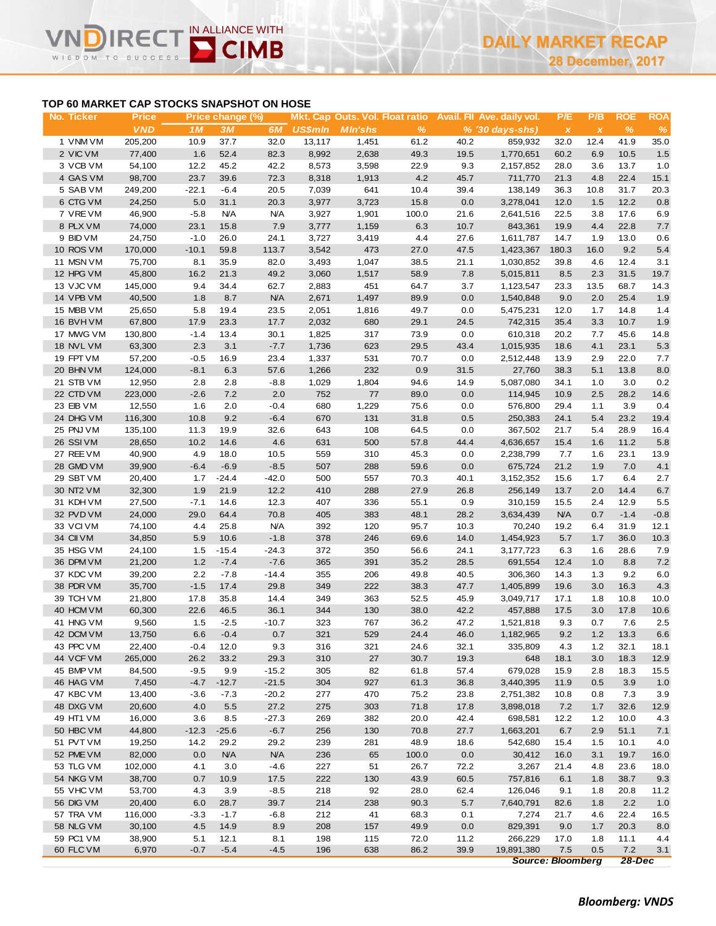# **IN ALLIANCE WITH CIMB** WISDOM TO

# **TOP 60 MARKET CAP STOCKS SNAPSHOT ON HOSE**

| No. Ticker | <b>Price</b> |         | Price change (%) |                |                        |       |       |      | Mkt. Cap Outs. Vol. Float ratio Avail. Fil Ave. daily vol. | P/E                       | P/B          | <b>ROE</b>    | <b>ROA</b> |
|------------|--------------|---------|------------------|----------------|------------------------|-------|-------|------|------------------------------------------------------------|---------------------------|--------------|---------------|------------|
|            | <b>VND</b>   | 1M      | 3M               | 6M             | <b>US\$mln</b> MIn'shs |       | %     |      | $% (30 \, \text{days-shs})$                                | $\boldsymbol{\mathsf{x}}$ | $\pmb{\chi}$ | $\frac{9}{6}$ | $\%$       |
| 1 VNM VM   | 205,200      | 10.9    | 37.7             | 32.0           | 13,117                 | 1,451 | 61.2  | 40.2 | 859,932                                                    | 32.0                      | 12.4         | 41.9          | 35.0       |
| 2 VIC VM   | 77,400       | 1.6     | 52.4             | 82.3           | 8,992                  | 2,638 | 49.3  | 19.5 | 1,770,651                                                  | 60.2                      | 6.9          | 10.5          | 1.5        |
| 3 VCB VM   | 54,100       | 12.2    | 45.2             | 42.2           | 8,573                  | 3,598 | 22.9  | 9.3  | 2,157,852                                                  | 28.0                      | 3.6          | 13.7          | 1.0        |
| 4 GAS VM   | 98,700       | 23.7    | 39.6             | 72.3           | 8,318                  | 1,913 | 4.2   | 45.7 | 711,770                                                    | 21.3                      | 4.8          | 22.4          | 15.1       |
| 5 SAB VM   | 249,200      | $-22.1$ | $-6.4$           | 20.5           | 7,039                  | 641   | 10.4  | 39.4 | 138,149                                                    | 36.3                      | 10.8         | 31.7          | 20.3       |
| 6 CTG VM   | 24,250       | 5.0     | 31.1             | 20.3           | 3,977                  | 3,723 | 15.8  | 0.0  | 3,278,041                                                  | 12.0                      | 1.5          | 12.2          | 0.8        |
| 7 VREVM    | 46,900       | $-5.8$  | <b>N/A</b>       | <b>N/A</b>     | 3,927                  | 1,901 | 100.0 | 21.6 | 2,641,516                                                  | 22.5                      | 3.8          | 17.6          | 6.9        |
| 8 PLX VM   | 74,000       | 23.1    | 15.8             | 7.9            | 3,777                  | 1,159 | 6.3   | 10.7 | 843,361                                                    | 19.9                      | 4.4          | 22.8          | 7.7        |
| 9 BID VM   | 24,750       | $-1.0$  | 26.0             | 24.1           | 3,727                  | 3,419 | 4.4   | 27.6 | 1,611,787                                                  | 14.7                      | 1.9          | 13.0          | 0.6        |
| 10 ROS VM  | 170,000      | $-10.1$ | 59.8             | 113.7          | 3,542                  | 473   | 27.0  | 47.5 | 1,423,367                                                  | 180.3                     | 16.0         | 9.2           | 5.4        |
| 11 MSN VM  | 75,700       | 8.1     | 35.9             | 82.0           | 3,493                  | 1,047 | 38.5  | 21.1 | 1,030,852                                                  | 39.8                      | 4.6          | 12.4          | 3.1        |
| 12 HPG VM  | 45,800       | 16.2    | 21.3             | 49.2           | 3,060                  | 1,517 | 58.9  | 7.8  | 5,015,811                                                  | 8.5                       | 2.3          | 31.5          | 19.7       |
| 13 VJC VM  | 145,000      | 9.4     | 34.4             | 62.7           | 2,883                  | 451   | 64.7  | 3.7  | 1,123,547                                                  | 23.3                      | 13.5         | 68.7          | 14.3       |
| 14 VPB VM  | 40,500       | 1.8     | 8.7              | <b>N/A</b>     | 2,671                  | 1,497 | 89.9  | 0.0  | 1,540,848                                                  | 9.0                       | 2.0          | 25.4          | 1.9        |
| 15 MBB VM  | 25,650       | 5.8     | 19.4             | 23.5           | 2,051                  | 1,816 | 49.7  | 0.0  | 5,475,231                                                  | 12.0                      | 1.7          | 14.8          | 1.4        |
| 16 BVHVM   | 67,800       | 17.9    | 23.3             | 17.7           | 2,032                  | 680   | 29.1  | 24.5 | 742,315                                                    | 35.4                      | 3.3          | 10.7          | 1.9        |
| 17 MWG VM  | 130,800      | $-1.4$  | 13.4             | 30.1           | 1,825                  | 317   | 73.9  | 0.0  | 610,318                                                    | 20.2                      | 7.7          | 45.6          | 14.8       |
| 18 NVL VM  | 63,300       | 2.3     | 3.1              | $-7.7$         | 1,736                  | 623   | 29.5  | 43.4 | 1,015,935                                                  | 18.6                      | 4.1          | 23.1          | 5.3        |
| 19 FPT VM  | 57,200       | $-0.5$  | 16.9             | 23.4           | 1,337                  | 531   | 70.7  | 0.0  | 2,512,448                                                  | 13.9                      | 2.9          | 22.0          | 7.7        |
| 20 BHN VM  | 124,000      | $-8.1$  | 6.3              | 57.6           | 1,266                  | 232   | 0.9   | 31.5 | 27,760                                                     | 38.3                      | 5.1          | 13.8          | 8.0        |
| 21 STB VM  | 12,950       | 2.8     | 2.8              | $-8.8$         | 1,029                  | 1,804 | 94.6  | 14.9 | 5,087,080                                                  | 34.1                      | 1.0          | 3.0           | 0.2        |
| 22 CTD VM  | 223,000      | $-2.6$  | 7.2              | 2.0            | 752                    | 77    | 89.0  | 0.0  | 114,945                                                    | 10.9                      | 2.5          | 28.2          | 14.6       |
| 23 EIB VM  | 12,550       | 1.6     | 2.0              | $-0.4$         | 680                    | 1,229 | 75.6  | 0.0  | 576,800                                                    | 29.4                      | 1.1          | 3.9           | 0.4        |
| 24 DHG VM  | 116,300      | 10.8    | 9.2              | $-6.4$         | 670                    | 131   | 31.8  | 0.5  | 250,383                                                    | 24.1                      | 5.4          | 23.2          | 19.4       |
| 25 PNJ VM  | 135,100      | 11.3    | 19.9             | 32.6           | 643                    | 108   | 64.5  | 0.0  | 367,502                                                    | 21.7                      | 5.4          | 28.9          | 16.4       |
| 26 SSIVM   | 28,650       | 10.2    | 14.6             | 4.6            | 631                    | 500   | 57.8  | 44.4 | 4,636,657                                                  | 15.4                      | 1.6          | 11.2          | 5.8        |
| 27 REE VM  | 40,900       | 4.9     | 18.0             |                | 559                    | 310   | 45.3  | 0.0  | 2,238,799                                                  | 7.7                       | 1.6          | 23.1          | 13.9       |
| 28 GMD VM  | 39,900       | $-6.4$  | $-6.9$           | 10.5<br>$-8.5$ | 507                    | 288   | 59.6  | 0.0  | 675,724                                                    | 21.2                      | 1.9          | 7.0           | 4.1        |
|            |              |         |                  |                |                        |       |       |      |                                                            |                           |              |               |            |
| 29 SBT VM  | 20,400       | 1.7     | $-24.4$          | $-42.0$        | 500                    | 557   | 70.3  | 40.1 | 3,152,352                                                  | 15.6                      | 1.7          | 6.4           | 2.7        |
| 30 NT2 VM  | 32,300       | 1.9     | 21.9             | 12.2           | 410                    | 288   | 27.9  | 26.8 | 256,149                                                    | 13.7                      | 2.0          | 14.4          | 6.7        |
| 31 KDH VM  | 27,500       | $-7.1$  | 14.6             | 12.3           | 407                    | 336   | 55.1  | 0.9  | 310,159                                                    | 15.5                      | 2.4          | 12.9          | 5.5        |
| 32 PVD VM  | 24,000       | 29.0    | 64.4             | 70.8           | 405                    | 383   | 48.1  | 28.2 | 3,634,439                                                  | <b>N/A</b>                | 0.7          | $-1.4$        | $-0.8$     |
| 33 VCIVM   | 74,100       | 4.4     | 25.8             | <b>N/A</b>     | 392                    | 120   | 95.7  | 10.3 | 70,240                                                     | 19.2                      | 6.4          | 31.9          | 12.1       |
| 34 CII VM  | 34,850       | 5.9     | 10.6             | $-1.8$         | 378                    | 246   | 69.6  | 14.0 | 1,454,923                                                  | 5.7                       | 1.7          | 36.0          | 10.3       |
| 35 HSG VM  | 24,100       | 1.5     | $-15.4$          | $-24.3$        | 372                    | 350   | 56.6  | 24.1 | 3,177,723                                                  | 6.3                       | 1.6          | 28.6          | 7.9        |
| 36 DPM VM  | 21,200       | $1.2$   | $-7.4$           | $-7.6$         | 365                    | 391   | 35.2  | 28.5 | 691,554                                                    | 12.4                      | 1.0          | 8.8           | 7.2        |
| 37 KDC VM  | 39,200       | 2.2     | $-7.8$           | $-14.4$        | 355                    | 206   | 49.8  | 40.5 | 306,360                                                    | 14.3                      | 1.3          | 9.2           | 6.0        |
| 38 PDR VM  | 35,700       | $-1.5$  | 17.4             | 29.8           | 349                    | 222   | 38.3  | 47.7 | 1,405,899                                                  | 19.6                      | 3.0          | 16.3          | 4.3        |
| 39 TCH VM  | 21,800       | 17.8    | 35.8             | 14.4           | 349                    | 363   | 52.5  | 45.9 | 3,049,717                                                  | 17.1                      | 1.8          | 10.8          | 10.0       |
| 40 HCM VM  | 60,300       | 22.6    | 46.5             | 36.1           | 344                    | 130   | 38.0  | 42.2 | 457,888                                                    | 17.5                      | 3.0          | 17.8          | 10.6       |
| 41 HNG VM  | 9,560        | 1.5     | $-2.5$           | $-10.7$        | 323                    | 767   | 36.2  | 47.2 | 1,521,818                                                  | 9.3                       | 0.7          | 7.6           | 2.5        |
| 42 DCM VM  | 13,750       | 6.6     | $-0.4$           | 0.7            | 321                    | 529   | 24.4  | 46.0 | 1,182,965                                                  | 9.2                       | 1.2          | 13.3          | 6.6        |
| 43 PPC VM  | 22,400       | $-0.4$  | 12.0             | 9.3            | 316                    | 321   | 24.6  | 32.1 | 335,809                                                    | 4.3                       | 1.2          | 32.1          | 18.1       |
| 44 VCF VM  | 265,000      | 26.2    | 33.2             | 29.3           | 310                    | 27    | 30.7  | 19.3 | 648                                                        | 18.1                      | 3.0          | 18.3          | 12.9       |
| 45 BMP VM  | 84,500       | $-9.5$  | 9.9              | $-15.2$        | 305                    | 82    | 61.8  | 57.4 | 679,028                                                    | 15.9                      | 2.8          | 18.3          | 15.5       |
| 46 HAG VM  | 7,450        | $-4.7$  | $-12.7$          | $-21.5$        | 304                    | 927   | 61.3  | 36.8 | 3,440,395                                                  | 11.9                      | 0.5          | 3.9           | 1.0        |
| 47 KBC VM  | 13,400       | $-3.6$  | $-7.3$           | $-20.2$        | 277                    | 470   | 75.2  | 23.8 | 2,751,382                                                  | 10.8                      | 0.8          | 7.3           | 3.9        |
| 48 DXG VM  | 20,600       | 4.0     | 5.5              | 27.2           | 275                    | 303   | 71.8  | 17.8 | 3,898,018                                                  | 7.2                       | 1.7          | 32.6          | 12.9       |
| 49 HT1 VM  | 16,000       | 3.6     | 8.5              | $-27.3$        | 269                    | 382   | 20.0  | 42.4 | 698,581                                                    | 12.2                      | 1.2          | 10.0          | 4.3        |
| 50 HBC VM  | 44,800       | $-12.3$ | $-25.6$          | $-6.7$         | 256                    | 130   | 70.8  | 27.7 | 1,663,201                                                  | 6.7                       | 2.9          | 51.1          | 7.1        |
| 51 PVT VM  | 19,250       | 14.2    | 29.2             | 29.2           | 239                    | 281   | 48.9  | 18.6 | 542,680                                                    | 15.4                      | 1.5          | 10.1          | 4.0        |
| 52 PME VM  | 82,000       | 0.0     | <b>N/A</b>       | <b>N/A</b>     | 236                    | 65    | 100.0 | 0.0  | 30,412                                                     | 16.0                      | 3.1          | 19.7          | 16.0       |
| 53 TLG VM  | 102,000      | 4.1     | 3.0              | $-4.6$         | 227                    | 51    | 26.7  | 72.2 | 3,267                                                      | 21.4                      | 4.8          | 23.6          | 18.0       |
| 54 NKG VM  | 38,700       | 0.7     | 10.9             | 17.5           | 222                    | 130   | 43.9  | 60.5 | 757,816                                                    | 6.1                       | 1.8          | 38.7          | 9.3        |
| 55 VHC VM  | 53,700       | 4.3     | 3.9              | $-8.5$         | 218                    | 92    | 28.0  | 62.4 | 126,046                                                    | 9.1                       | 1.8          | 20.8          | 11.2       |
| 56 DIG VM  | 20,400       | 6.0     | 28.7             | 39.7           | 214                    | 238   | 90.3  | 5.7  | 7,640,791                                                  | 82.6                      | 1.8          | 2.2           | 1.0        |
| 57 TRA VM  | 116,000      | $-3.3$  | $-1.7$           | $-6.8$         | 212                    | 41    | 68.3  | 0.1  | 7,274                                                      | 21.7                      | 4.6          | 22.4          | 16.5       |
| 58 NLG VM  | 30,100       | 4.5     | 14.9             | 8.9            | 208                    | 157   | 49.9  | 0.0  | 829,391                                                    | 9.0                       | 1.7          | 20.3          | 8.0        |
| 59 PC1 VM  | 38,900       | 5.1     | 12.1             | 8.1            | 198                    | 115   | 72.0  | 11.2 | 266,229                                                    | 17.0                      | 1.8          | 11.1          | 4.4        |
| 60 FLC VM  | 6,970        | $-0.7$  | $-5.4$           | $-4.5$         | 196                    | 638   | 86.2  | 39.9 | 19,891,380                                                 | $7.5\,$                   | 0.5          | 7.2           | 3.1        |

*Source: Bloomberg 28-Dec*